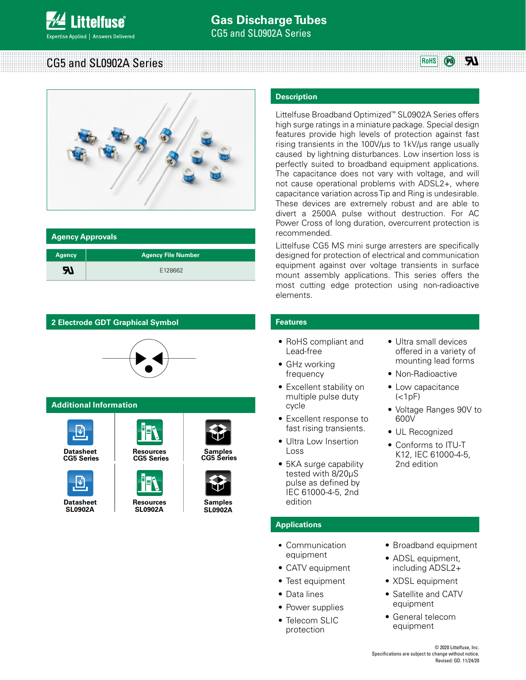#### **RI** CG5 and SL0902A Series **Rows Rows Rows**  $\left( P_0 \right)$



| <b>Agency Approvals</b> |                           |  |  |  |  |
|-------------------------|---------------------------|--|--|--|--|
| <b>Agency</b>           | <b>Agency File Number</b> |  |  |  |  |
| ЯJ                      | E128662                   |  |  |  |  |



# **Description**

Littelfuse Broadband Optimized™ SL0902A Series offers high surge ratings in a miniature package. Special design features provide high levels of protection against fast rising transients in the 100V/μs to 1kV/μs range usually caused by lightning disturbances. Low insertion loss is perfectly suited to broadband equipment applications. The capacitance does not vary with voltage, and will not cause operational problems with ADSL2+, where capacitance variation across Tip and Ring is undesirable. These devices are extremely robust and are able to divert a 2500A pulse without destruction. For AC Power Cross of long duration, overcurrent protection is recommended.

Littelfuse CG5 MS mini surge arresters are specifically designed for protection of electrical and communication equipment against over voltage transients in surface mount assembly applications. This series offers the most cutting edge protection using non-radioactive elements.

## **Features**

- RoHS compliant and Lead-free
- GHz working frequency
- Excellent stability on multiple pulse duty cycle
- Excellent response to fast rising transients.
- Ultra Low Insertion Loss
- 5KA surge capability tested with 8/20μS pulse as defined by IEC 61000-4-5, 2nd edition

## **Applications**

- Communication equipment
- CATV equipment
- Test equipment
- Data lines
- Power supplies
- Telecom SLIC protection
- Ultra small devices offered in a variety of mounting lead forms
- Non-Radioactive
- Low capacitance  $(<sub>1pF</sub>)$
- Voltage Ranges 90V to 600V
- UL Recognized
- Conforms to ITU-T K12, IEC 61000-4-5, 2nd edition

- Broadband equipment
- ADSL equipment, including ADSL2+
- XDSL equipment
- Satellite and CATV equipment
- General telecom equipment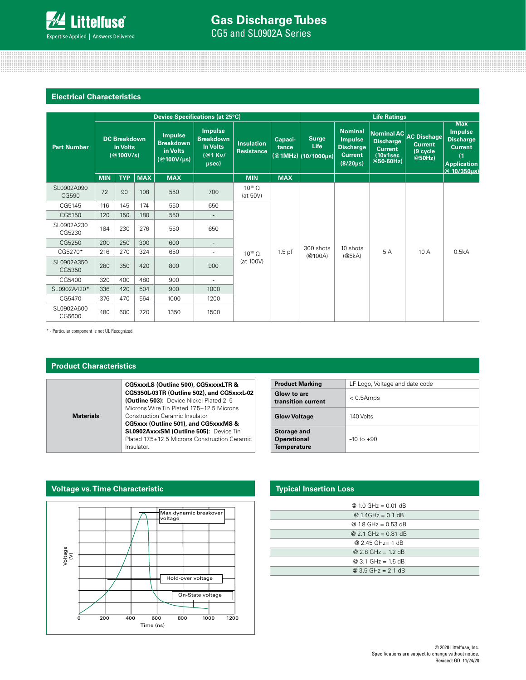

# CG5 and SL0902A Series **Gas Discharge Tubes**

# **Electrical Characteristics**

|                      | Device Specifications (at 25°C)              |            |            |                                                                  |                                                                             | <b>Life Ratings</b>             |                                                                     |                                             |                                                                                          |                                                               |                                                                |                                                                                                                    |
|----------------------|----------------------------------------------|------------|------------|------------------------------------------------------------------|-----------------------------------------------------------------------------|---------------------------------|---------------------------------------------------------------------|---------------------------------------------|------------------------------------------------------------------------------------------|---------------------------------------------------------------|----------------------------------------------------------------|--------------------------------------------------------------------------------------------------------------------|
| <b>Part Number</b>   | <b>DC Breakdown</b><br>in Volts<br>(@100V/s) |            |            | <b>Impulse</b><br><b>Breakdown</b><br>in Volts<br>$@100V/\mu s)$ | <b>Impulse</b><br><b>Breakdown</b><br><b>In Volts</b><br>$(@1$ Kv/<br>usec) | <b>Insulation</b><br>Resistance | Capaci-<br>tance                                                    | <b>Surge</b><br>Life<br>(@1MHz) (10/1000µs) | <b>Nominal</b><br><b>Impulse</b><br><b>Discharge</b><br><b>Current</b><br>$(8/20 \mu s)$ | <b>Discharge</b><br><b>Current</b><br>(10x1sec<br>$@50-60Hz)$ | Nominal AC AC Dischage<br><b>Current</b><br>(9 cycle<br>@50Hz) | <b>Max</b><br><b>Impulse</b><br><b>Discharge</b><br><b>Current</b><br>(1)<br><b>Application</b><br>$@10/350\mu s]$ |
|                      | <b>MIN</b>                                   | <b>TYP</b> | <b>MAX</b> | <b>MAX</b>                                                       |                                                                             | <b>MIN</b>                      | <b>MAX</b>                                                          |                                             |                                                                                          |                                                               |                                                                |                                                                                                                    |
| SL0902A090<br>CG590  | 72                                           | 90         | 108        | 550                                                              | 700                                                                         | $10^{10}$ $\Omega$<br>(at 50V)  | 300 shots<br>$1.5$ pf<br>$10^{10}$ $\Omega$<br>(@100A)<br>(at 100V) |                                             |                                                                                          | 5A                                                            | 10 A                                                           | 0.5kA                                                                                                              |
| CG5145               | 116                                          | 145        | 174        | 550                                                              | 650                                                                         |                                 |                                                                     |                                             |                                                                                          |                                                               |                                                                |                                                                                                                    |
| CG5150               | 120                                          | 150        | 180        | 550                                                              | $\overline{\phantom{a}}$                                                    |                                 |                                                                     |                                             | 10 shots<br>(@5kA)                                                                       |                                                               |                                                                |                                                                                                                    |
| SL0902A230<br>CG5230 | 184                                          | 230        | 276        | 550                                                              | 650                                                                         |                                 |                                                                     |                                             |                                                                                          |                                                               |                                                                |                                                                                                                    |
| CG5250               | 200                                          | 250        | 300        | 600                                                              | $\overline{\phantom{a}}$                                                    |                                 |                                                                     |                                             |                                                                                          |                                                               |                                                                |                                                                                                                    |
| CG5270*              | 216                                          | 270        | 324        | 650                                                              |                                                                             |                                 |                                                                     |                                             |                                                                                          |                                                               |                                                                |                                                                                                                    |
| SL0902A350<br>CG5350 | 280                                          | 350        | 420        | 800                                                              | 900                                                                         |                                 |                                                                     |                                             |                                                                                          |                                                               |                                                                |                                                                                                                    |
| CG5400               | 320                                          | 400        | 480        | 900                                                              | $\overline{\phantom{a}}$                                                    |                                 |                                                                     |                                             |                                                                                          |                                                               |                                                                |                                                                                                                    |
| SL0902A420*          | 336                                          | 420        | 504        | 900                                                              | 1000                                                                        |                                 |                                                                     |                                             |                                                                                          |                                                               |                                                                |                                                                                                                    |
| CG5470               | 376                                          | 470        | 564        | 1000                                                             | 1200                                                                        |                                 |                                                                     |                                             |                                                                                          |                                                               |                                                                |                                                                                                                    |
| SL0902A600<br>CG5600 | 480                                          | 600        | 720        | 1350                                                             | 1500                                                                        |                                 |                                                                     |                                             |                                                                                          |                                                               |                                                                |                                                                                                                    |

\* - Particular component is not UL Recognized.

## **Product Characteristics**

**Materials**

**Voltage vs. Time Characteristic**

**CG5xxxLS (Outline 500), CG5xxxxLTR & CG5350L-03TR (Outline 502), and CG5xxxL-02 (Outline 503):** Device Nickel Plated 2–5 Microns Wire Tin Plated 17.5±12.5 Microns Construction Ceramic Insulator.

**CG5xxx (Outline 501), and CG5xxxMS & SL0902AxxxSM (Outline 505):** Device Tin Plated 17.5±12.5 Microns Construction Ceramic Insulator.

| <b>Product Marking</b>                                         | LF Logo, Voltage and date code |  |  |
|----------------------------------------------------------------|--------------------------------|--|--|
| Glow to arc<br>transition current                              | $< 0.5$ Amps                   |  |  |
| <b>Glow Voltage</b>                                            | 140 Volts                      |  |  |
| <b>Storage and</b><br><b>Operational</b><br><b>Temperature</b> | $-40$ to $+90$                 |  |  |

# Voltage (V) Time (ns) 0 200 400 600 800 1000 1200 Max dynamic breakover voltage Hold-over voltage On-State voltage

## **Typical Insertion Loss**

| @ 1.0 GHz = 0.01 dB                  |
|--------------------------------------|
| $@ 1.4 \text{GHz} = 0.1 \text{ dB}$  |
| @ $1.8$ GHz = 0.53 dB                |
| $@2.1 \text{ GHz} = 0.81 \text{ dB}$ |
| $@2.45$ GHz= 1 dB                    |
| $@2.8 \text{ GHz} = 1.2 \text{ dB}$  |
| $@3.1 \text{ GHz} = 1.5 \text{ dB}$  |
| $Q$ 3.5 GHz = 2.1 dB                 |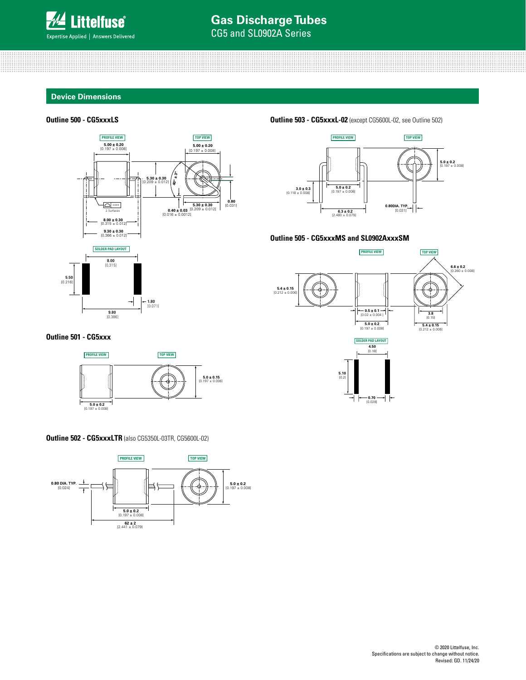

## **Device Dimensions**

## **Outline 500 - CG5xxxLS**



**Outline 503 - CG5xxxL-02** (except CG5600L-02, see Outline 502)



### **Outline 505 - CG5xxxMS and SL0902AxxxSM**



**Outline 501 - CG5xxx**



## **Outline 502 - CG5xxxLTR** (also CG5350L-03TR, CG5600L-02)

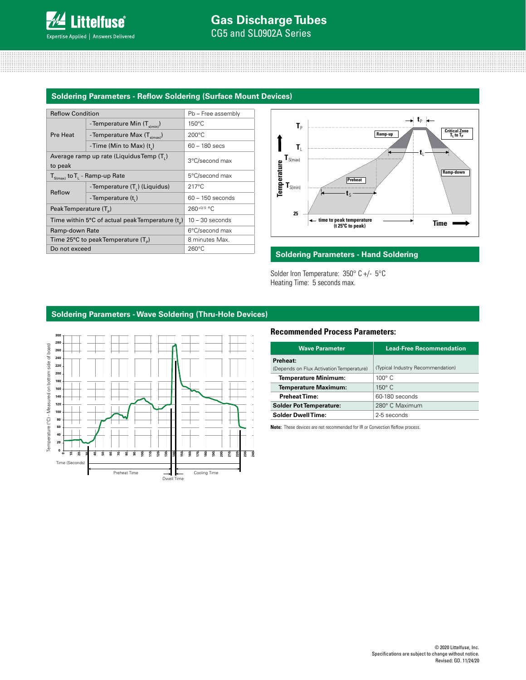## **Soldering Parameters - Reflow Soldering (Surface Mount Devices)**

| <b>Reflow Condition</b>            |                                                       | Pb - Free assembly |  |  |
|------------------------------------|-------------------------------------------------------|--------------------|--|--|
|                                    | - Temperature Min $(T_{\text{sim}})$                  | $150^{\circ}$ C    |  |  |
| Pre Heat                           | - Temperature Max $(T_{\text{simax}})$                | $200^{\circ}$ C    |  |  |
|                                    | -Time (Min to Max) $(t_n)$                            | $60 - 180$ secs    |  |  |
| to peak                            | Average ramp up rate (Liquidus Temp (T <sub>1</sub> ) | 3°C/second max     |  |  |
|                                    | $T_{S(max)}$ to $T_{L}$ - Ramp-up Rate                | 5°C/second max     |  |  |
| Reflow                             | - Temperature $(T_1)$ (Liquidus)                      | $217^{\circ}$ C    |  |  |
|                                    | - Temperature (t,)                                    | $60 - 150$ seconds |  |  |
| Peak Temperature (T <sub>a</sub> ) |                                                       | $260^{+0/5}$ °C    |  |  |
|                                    | Time within 5°C of actual peak Temperature $(t_{n})$  | $10 - 30$ seconds  |  |  |
| Ramp-down Rate                     |                                                       | 6°C/second max     |  |  |
|                                    | Time 25°C to peak Temperature $(T_{p})$               | 8 minutes Max.     |  |  |
| Do not exceed                      |                                                       | $260^{\circ}$ C    |  |  |



## **Soldering Parameters - Hand Soldering**

Solder Iron Temperature: 350° C +/- 5°C Heating Time: 5 seconds max.

## **Soldering Parameters - Wave Soldering (Thru-Hole Devices)**



## **Recommended Process Parameters:**

| <b>Wave Parameter</b>                    | <b>Lead-Free Recommendation</b>   |  |  |
|------------------------------------------|-----------------------------------|--|--|
| Preheat:                                 |                                   |  |  |
| (Depends on Flux Activation Temperature) | (Typical Industry Recommendation) |  |  |
| Temperature Minimum:                     | $100^\circ$ C                     |  |  |
| <b>Temperature Maximum:</b>              | $150^\circ$ C                     |  |  |
| <b>Preheat Time:</b>                     | 60-180 seconds                    |  |  |
| <b>Solder Pot Temperature:</b>           | 280° C Maximum                    |  |  |
| <b>Solder Dwell Time:</b>                | 2-5 seconds                       |  |  |

**Note:** These devices are not recommended for IR or Convection Reflow process.